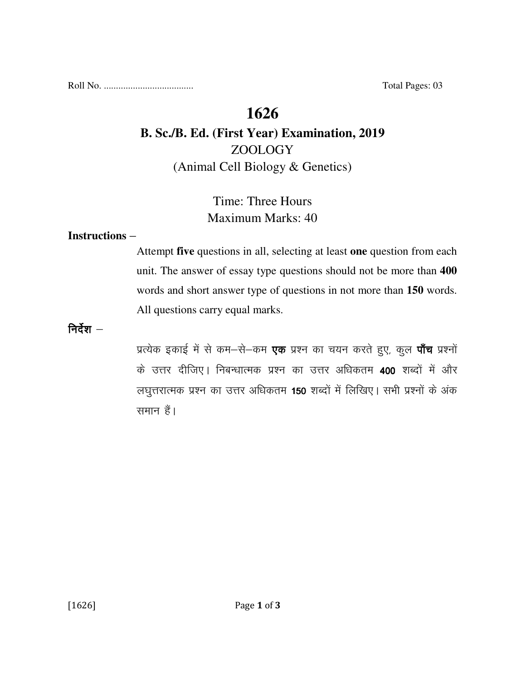Roll No. ..................................... Total Pages: 03

# **1626**

# **B. Sc./B. Ed. (First Year) Examination, 2019**  ZOOLOGY (Animal Cell Biology & Genetics)

# Time: Three Hours Maximum Marks: 40

### **Instructions** –

Attempt **five** questions in all, selecting at least **one** question from each unit. The answer of essay type questions should not be more than **400** words and short answer type of questions in not more than **150** words. All questions carry equal marks.

निर्देश $-$ 

प्रत्येक इकाई में से कम-से-कम **एक** प्रश्न का चयन करते हुए, कुल **पाँच** प्रश्नों के उत्तर दीजिए। निबन्धात्मक प्रश्न का उत्तर अधिकतम 400 शब्दों में और लघुत्तरात्मक प्रश्न का उत्तर अधिकतम 150 शब्दों में लिखिए। सभी प्रश्नों के अंक समान हैं।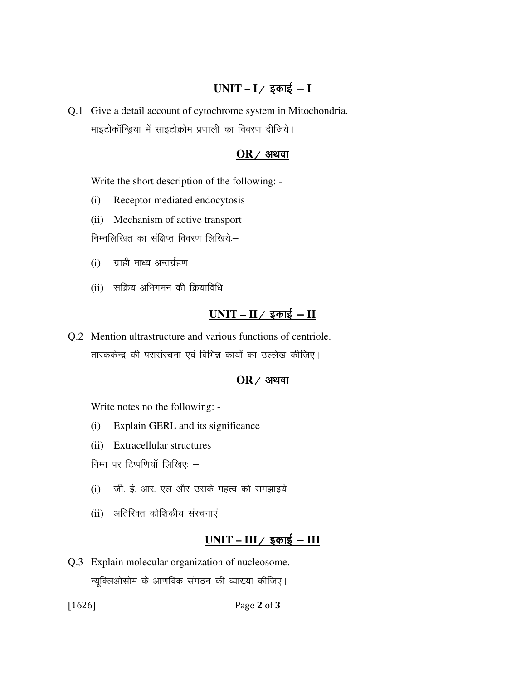## $UNIT - I /$  इकाई - **I**

Q.1 Give a detail account of cytochrome system in Mitochondria. माइटोकॉन्ड्रिया में साइटोक्रोम प्रणाली का विवरण दीजिये।

#### $OR$  / अथवा

Write the short description of the following: -

- (i) Receptor mediated endocytosis
- (ii) Mechanism of active transport

निम्नलिखित का संक्षिप्त विवरण लिखिये:

- $(i)$  ग्राही माध्य अन्तर्ग्रहण
- (ii) सक्रिय अभिगमन की क्रियाविधि

## $UNIT - II /$  इकाई – **II**

Q.2 Mention ultrastructure and various functions of centriole. तारककेन्द्र की परासंरचना एवं विभिन्न कार्यों का उल्लेख कीजिए।

#### $OR$ / अथवा

Write notes no the following: -

- (i) Explain GERL and its significance
- (ii) Extracellular structures

निम्न पर टिप्पणियाँ लिखिए:  $-$ 

- (i) जी. ई. आर. एल और उसके महत्व को समझाइये
- (ii) अतिरिक्त कोशिकीय संरचनाएं

### $UNIT - III /$  इकाई – III

Q.3 Explain molecular organization of nucleosome. न्यूक्लिओसोम के आणविक संगठन की व्याख्या कीजिए।

[1626] **Page 2 of 3**